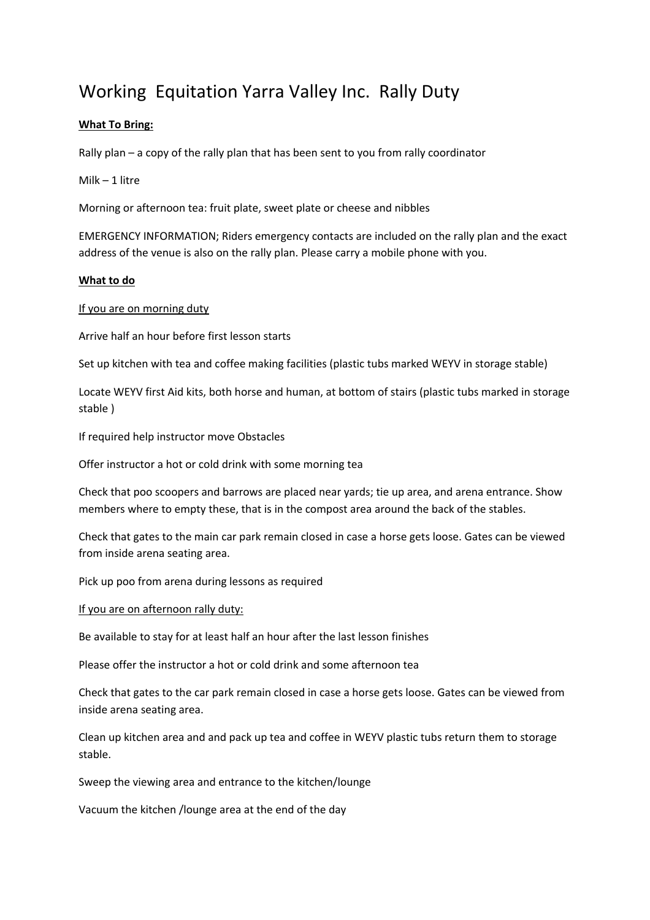# Working Equitation Yarra Valley Inc. Rally Duty

# **What To Bring:**

Rally plan – a copy of the rally plan that has been sent to you from rally coordinator

Milk – 1 litre

Morning or afternoon tea: fruit plate, sweet plate or cheese and nibbles

EMERGENCY INFORMATION; Riders emergency contacts are included on the rally plan and the exact address of the venue is also on the rally plan. Please carry a mobile phone with you.

#### **What to do**

If you are on morning duty

Arrive half an hour before first lesson starts

Set up kitchen with tea and coffee making facilities (plastic tubs marked WEYV in storage stable)

Locate WEYV first Aid kits, both horse and human, at bottom of stairs (plastic tubs marked in storage stable )

If required help instructor move Obstacles

Offer instructor a hot or cold drink with some morning tea

Check that poo scoopers and barrows are placed near yards; tie up area, and arena entrance. Show members where to empty these, that is in the compost area around the back of the stables.

Check that gates to the main car park remain closed in case a horse gets loose. Gates can be viewed from inside arena seating area.

Pick up poo from arena during lessons as required

If you are on afternoon rally duty:

Be available to stay for at least half an hour after the last lesson finishes

Please offer the instructor a hot or cold drink and some afternoon tea

Check that gates to the car park remain closed in case a horse gets loose. Gates can be viewed from inside arena seating area.

Clean up kitchen area and and pack up tea and coffee in WEYV plastic tubs return them to storage stable.

Sweep the viewing area and entrance to the kitchen/lounge

Vacuum the kitchen /lounge area at the end of the day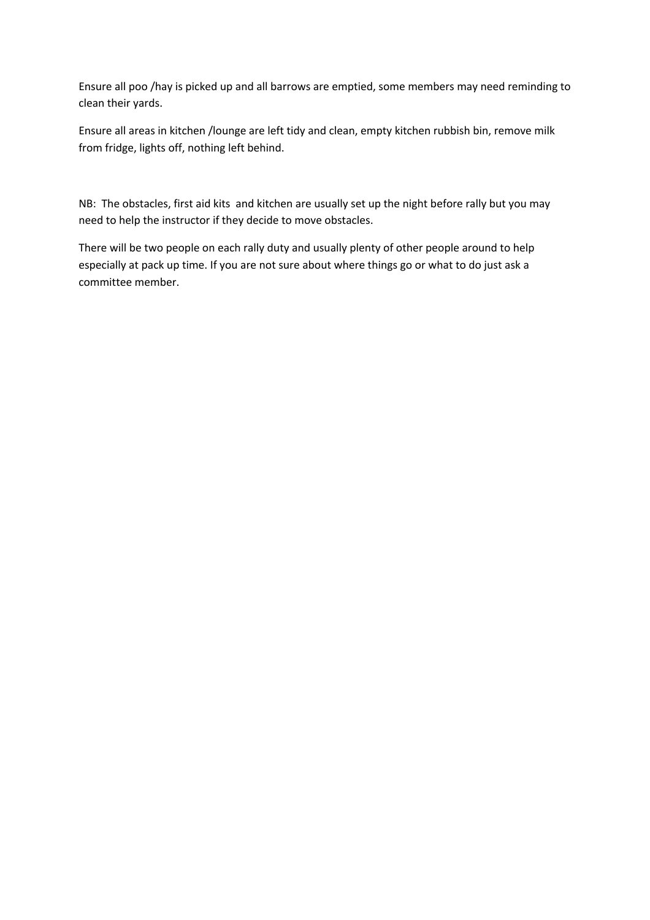Ensure all poo /hay is picked up and all barrows are emptied, some members may need reminding to clean their yards.

Ensure all areas in kitchen /lounge are left tidy and clean, empty kitchen rubbish bin, remove milk from fridge, lights off, nothing left behind.

NB: The obstacles, first aid kits and kitchen are usually set up the night before rally but you may need to help the instructor if they decide to move obstacles.

There will be two people on each rally duty and usually plenty of other people around to help especially at pack up time. If you are not sure about where things go or what to do just ask a committee member.